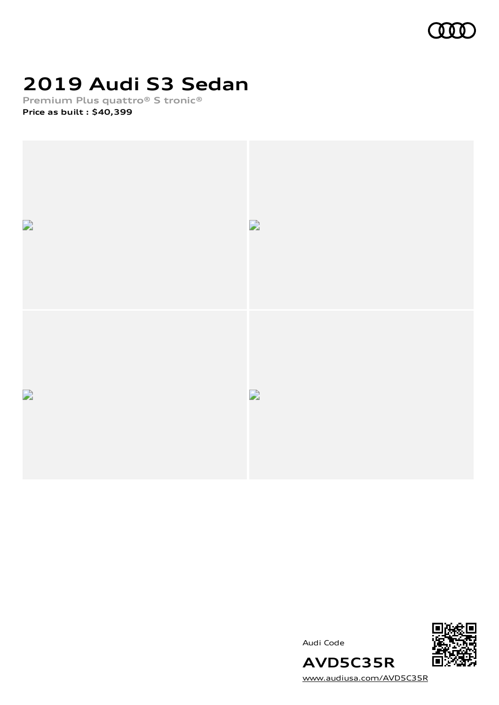

## **2019 Audi S3 Sedan**

**Premium Plus quattro® S tronic® Price as built [:](#page-10-0) \$40,399**





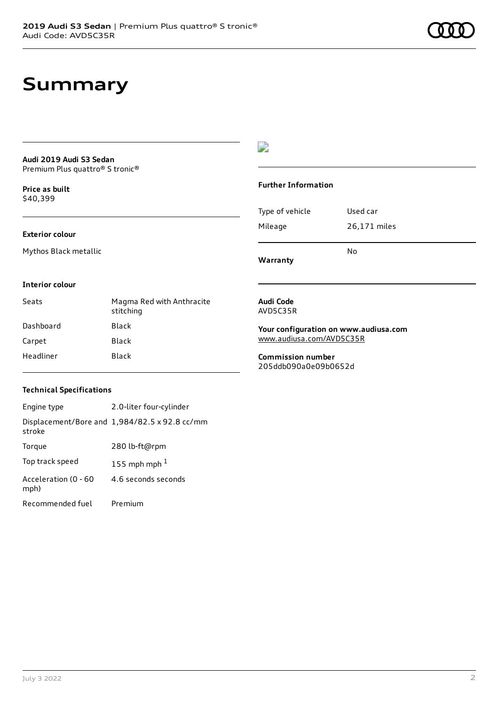### **Summary**

#### **Audi 2019 Audi S3 Sedan** Premium Plus quattro® S tronic®

**Price as buil[t](#page-10-0)** \$40,399

#### **Exterior colour**

Mythos Black metallic

### $\overline{\phantom{a}}$

#### **Further Information**

|                 | N٥           |
|-----------------|--------------|
| Mileage         | 26,171 miles |
| Type of vehicle | Used car     |

**Warranty**

#### **Interior colour**

| Seats     | Magma Red with Anthracite<br>stitching |
|-----------|----------------------------------------|
| Dashboard | Black                                  |
| Carpet    | Black                                  |
| Headliner | Black                                  |

#### **Audi Code** AVD5C35R

**Your configuration on www.audiusa.com**

[www.audiusa.com/AVD5C35R](https://www.audiusa.com/AVD5C35R)

**Commission number** 205ddb090a0e09b0652d

#### **Technical Specifications**

| Engine type                  | 2.0-liter four-cylinder                       |
|------------------------------|-----------------------------------------------|
| stroke                       | Displacement/Bore and 1,984/82.5 x 92.8 cc/mm |
| Torque                       | 280 lb-ft@rpm                                 |
| Top track speed              | 155 mph mph $1$                               |
| Acceleration (0 - 60<br>mph) | 4.6 seconds seconds                           |
| Recommended fuel             | Premium                                       |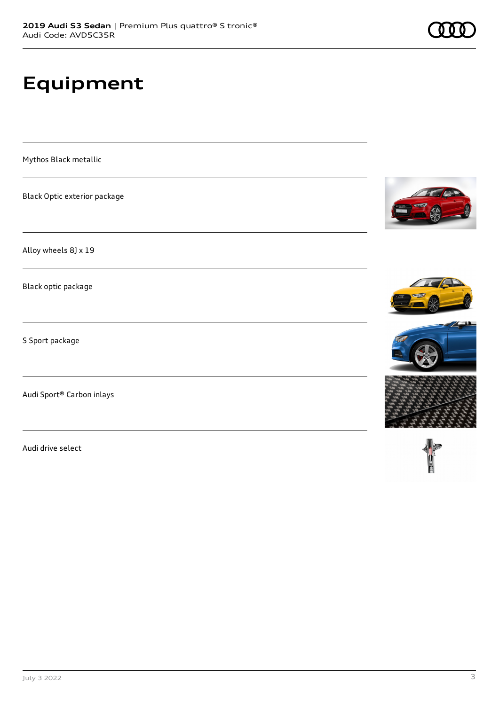# **Equipment**

Mythos Black metallic

Black Optic exterior package

Alloy wheels 8J x 19

Black optic package

S Sport package

Audi Sport® Carbon inlays

Audi drive select









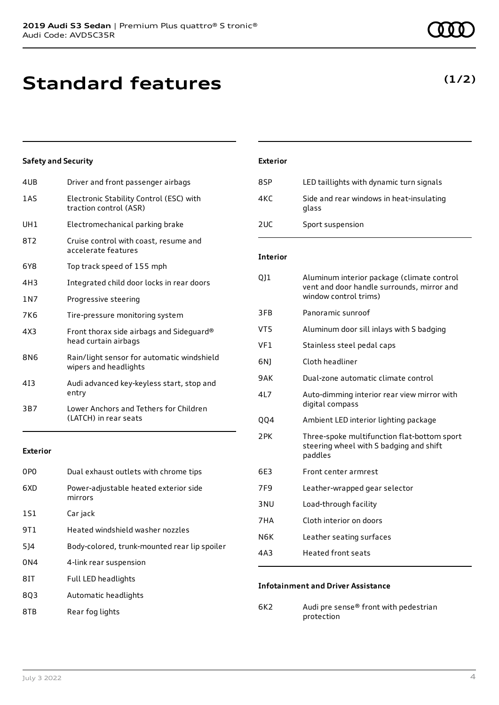## **Standard features**

#### **Safety and Security**

| 4UB        | Driver and front passenger airbags                                  |
|------------|---------------------------------------------------------------------|
| 1AS        | Electronic Stability Control (ESC) with<br>traction control (ASR)   |
| UH1        | Electromechanical parking brake                                     |
| 8T2        | Cruise control with coast, resume and<br>accelerate features        |
| 6Y8        | Top track speed of 155 mph                                          |
| 4H3        | Integrated child door locks in rear doors                           |
| 1N7        | Progressive steering                                                |
| <b>7K6</b> | Tire-pressure monitoring system                                     |
| 4X3        | Front thorax side airbags and Sideguard®<br>head curtain airbags    |
| <b>8N6</b> | Rain/light sensor for automatic windshield<br>wipers and headlights |
| 413        | Audi advanced key-keyless start, stop and<br>entry                  |
| 3B7        | Lower Anchors and Tethers for Children<br>(LATCH) in rear seats     |

#### **Exterior**

| 0PO | Dual exhaust outlets with chrome tips            |
|-----|--------------------------------------------------|
| 6XD | Power-adjustable heated exterior side<br>mirrors |
| 1S1 | Car jack                                         |
| 9T1 | Heated windshield washer nozzles                 |
| 5]4 | Body-colored, trunk-mounted rear lip spoiler     |
| 0N4 | 4-link rear suspension                           |
| 8IT | <b>Full LED headlights</b>                       |
| 803 | Automatic headlights                             |
|     |                                                  |

8TB Rear fog lights

### **Exterior**

| 8SP | LED taillights with dynamic turn signals          |
|-----|---------------------------------------------------|
| 4KC | Side and rear windows in heat-insulating<br>glass |
| 2UC | Sport suspension                                  |

#### **Interior**

| 011  | Aluminum interior package (climate control<br>vent and door handle surrounds, mirror and<br>window control trims) |
|------|-------------------------------------------------------------------------------------------------------------------|
| 3FB  | Panoramic sunroof                                                                                                 |
| VT5  | Aluminum door sill inlays with S badging                                                                          |
| VF1  | Stainless steel pedal caps                                                                                        |
| 6N1  | Cloth headliner                                                                                                   |
| 9AK  | Dual-zone automatic climate control                                                                               |
| 4L7  | Auto-dimming interior rear view mirror with<br>digital compass                                                    |
| QQ4  | Ambient LED interior lighting package                                                                             |
| 2PK  | Three-spoke multifunction flat-bottom sport<br>steering wheel with S badging and shift<br>paddles                 |
| 6E3  | Front center armrest                                                                                              |
| 7F9  | Leather-wrapped gear selector                                                                                     |
| 3 NU | Load-through facility                                                                                             |
| 7HA  | Cloth interior on doors                                                                                           |
| N6K  | Leather seating surfaces                                                                                          |
| 4A3  | Heated front seats                                                                                                |
|      |                                                                                                                   |

#### **Infotainment and Driver Assistance**

6K2 Audi pre sense® front with pedestrian protection

### **(1/2)**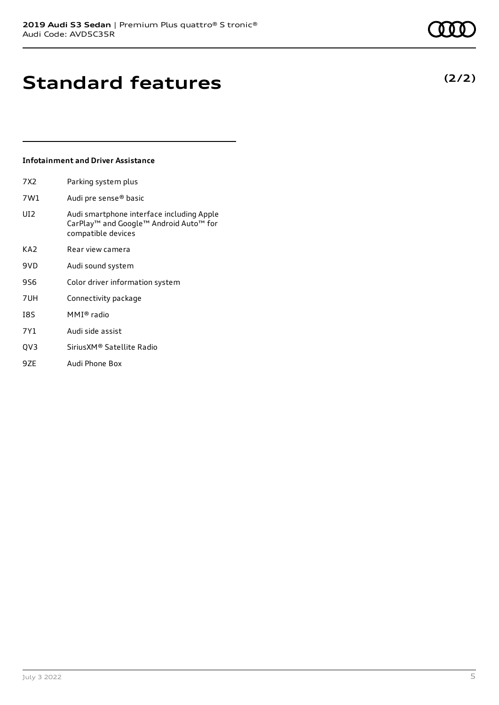### **Standard features**

#### **Infotainment and Driver Assistance**

| 7X2             | Parking system plus                                                                                                               |
|-----------------|-----------------------------------------------------------------------------------------------------------------------------------|
| 7W1             | Audi pre sense <sup>®</sup> basic                                                                                                 |
| UI <sub>2</sub> | Audi smartphone interface including Apple<br>CarPlay <sup>™</sup> and Google™ Android Auto <sup>™</sup> for<br>compatible devices |

- KA2 Rear view camera
- 9VD Audi sound system
- 9S6 Color driver information system
- 7UH Connectivity package
- I8S MMI® radio
- 7Y1 Audi side assist
- QV3 SiriusXM® Satellite Radio
- 9ZE Audi Phone Box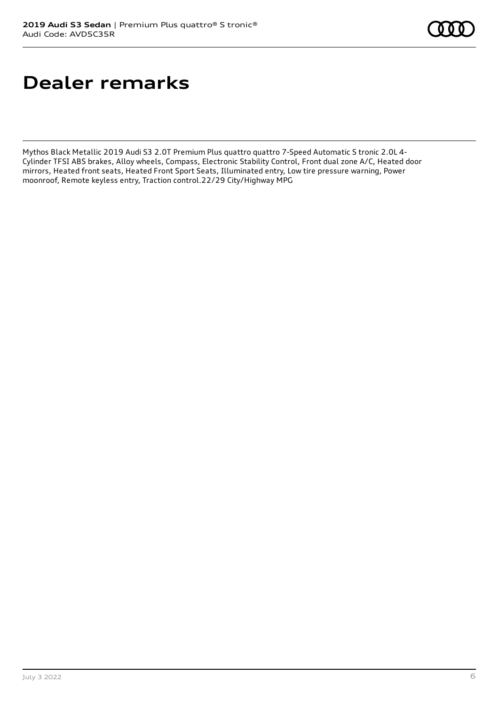## **Dealer remarks**

Mythos Black Metallic 2019 Audi S3 2.0T Premium Plus quattro quattro 7-Speed Automatic S tronic 2.0L 4- Cylinder TFSI ABS brakes, Alloy wheels, Compass, Electronic Stability Control, Front dual zone A/C, Heated door mirrors, Heated front seats, Heated Front Sport Seats, Illuminated entry, Low tire pressure warning, Power moonroof, Remote keyless entry, Traction control.22/29 City/Highway MPG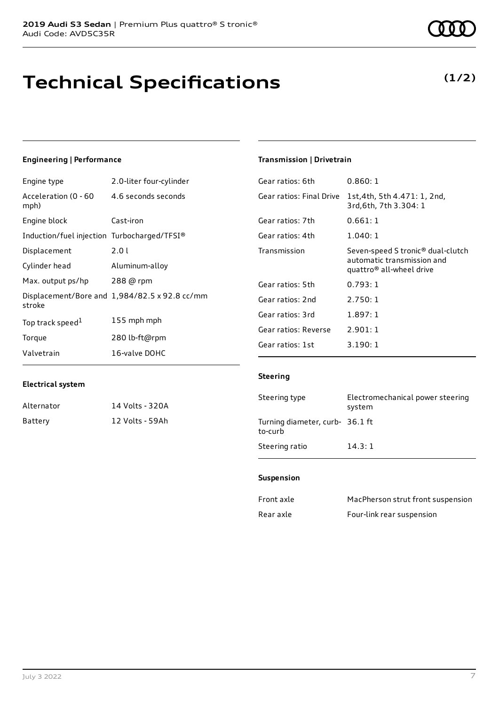# **Technical Specifications**

### **Engineering | Performance**

| Engine type                                 | 2.0-liter four-cylinder                       |
|---------------------------------------------|-----------------------------------------------|
| Acceleration (0 - 60<br>mph)                | 4.6 seconds seconds                           |
| Engine block                                | Cast-iron                                     |
| Induction/fuel injection Turbocharged/TFSI® |                                               |
| Displacement                                | 2.0 L                                         |
| Cylinder head                               | Aluminum-alloy                                |
| Max. output ps/hp                           | 288 @ rpm                                     |
| stroke                                      | Displacement/Bore and 1,984/82.5 x 92.8 cc/mm |
| Top track speed <sup>1</sup>                | 155 mph mph                                   |
| Torque                                      | 280 lb-ft@rpm                                 |
| Valvetrain                                  | 16-valve DOHC                                 |

### **Electrical system**

| Alternator | 14 Volts - 320A |
|------------|-----------------|
| Battery    | 12 Volts - 59Ah |

#### **Transmission | Drivetrain**

| Gear ratios: 6th         | 0.860:1                                                                                                             |
|--------------------------|---------------------------------------------------------------------------------------------------------------------|
| Gear ratios: Final Drive | 1st, 4th, 5th 4.471: 1, 2nd,<br>3rd, 6th, 7th 3.304: 1                                                              |
| Gear ratios: 7th         | 0.661:1                                                                                                             |
| Gear ratios: 4th         | 1.040:1                                                                                                             |
| Transmission             | Seven-speed S tronic <sup>®</sup> dual-clutch<br>automatic transmission and<br>quattro <sup>®</sup> all-wheel drive |
| Gear ratios: 5th         | 0.793:1                                                                                                             |
| Gear ratios: 2nd         | 2.750:1                                                                                                             |
| Gear ratios: 3rd         | 1.897:1                                                                                                             |
| Gear ratios: Reverse     | 2.901:1                                                                                                             |
| Gear ratios: 1st         | 3.190:1                                                                                                             |

#### **Steering**

| Steering type                              | Electromechanical power steering<br>system |
|--------------------------------------------|--------------------------------------------|
| Turning diameter, curb- 36.1 ft<br>to-curb |                                            |
| Steering ratio                             | 14.3:1                                     |

#### **Suspension**

| Front axle | MacPherson strut front suspension |
|------------|-----------------------------------|
| Rear axle  | Four-link rear suspension         |

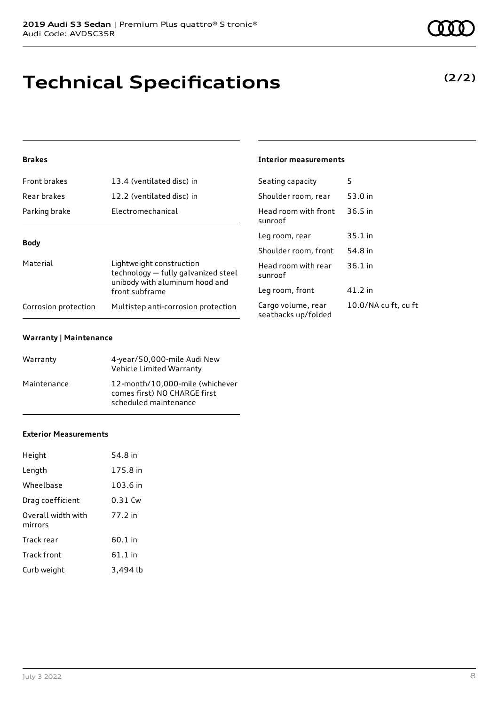## **Technical Specifications**

#### **Brakes**

| <b>Front brakes</b>  | 13.4 (ventilated disc) in                                                                                           | Seating capacity                          | 5              |
|----------------------|---------------------------------------------------------------------------------------------------------------------|-------------------------------------------|----------------|
| Rear brakes          | 12.2 (ventilated disc) in                                                                                           | Shoulder room, rear                       | 53             |
| Parking brake        | Electromechanical                                                                                                   | Head room with front<br>sunroof           | 3(             |
|                      |                                                                                                                     | Leg room, rear                            | 3!             |
| <b>Body</b>          |                                                                                                                     | Shoulder room, front                      | 54             |
| Material             | Lightweight construction<br>technology – fully galvanized steel<br>unibody with aluminum hood and<br>front subframe | Head room with rear<br>sunroof            | 3(             |
|                      |                                                                                                                     | Leg room, front                           | $\overline{4}$ |
| Corrosion protection | Multistep anti-corrosion protection                                                                                 | Cargo volume, rear<br>seatbacks up/folded | 1(             |

#### **Warranty | Maintenance**

| Warranty    | 4-year/50,000-mile Audi New<br>Vehicle Limited Warranty                                  |
|-------------|------------------------------------------------------------------------------------------|
| Maintenance | 12-month/10.000-mile (whichever<br>comes first) NO CHARGE first<br>scheduled maintenance |

#### **Exterior Measurements**

| Height                        | 54.8 in   |
|-------------------------------|-----------|
| Length                        | 175.8 in  |
| Wheelbase                     | 103.6 in  |
| Drag coefficient              | 0.31 Cw   |
| Overall width with<br>mirrors | 77.2 in   |
| Track rear                    | 60.1 in   |
| Track front                   | $61.1$ in |
| Curb weight                   | 3,494 lb  |

#### **Interior measurements**

| Seathly Capacity                          |                      |
|-------------------------------------------|----------------------|
| Shoulder room, rear                       | 53.0 in              |
| Head room with front<br>sunroof           | 36.5 in              |
| Leg room, rear                            | 35.1 in              |
| Shoulder room, front                      | 54.8 in              |
| Head room with rear<br>sunroof            | $36.1$ in            |
| Leg room, front                           | 41.2 in              |
| Cargo volume, rear<br>seatbacks up/folded | 10.0/NA cu ft, cu ft |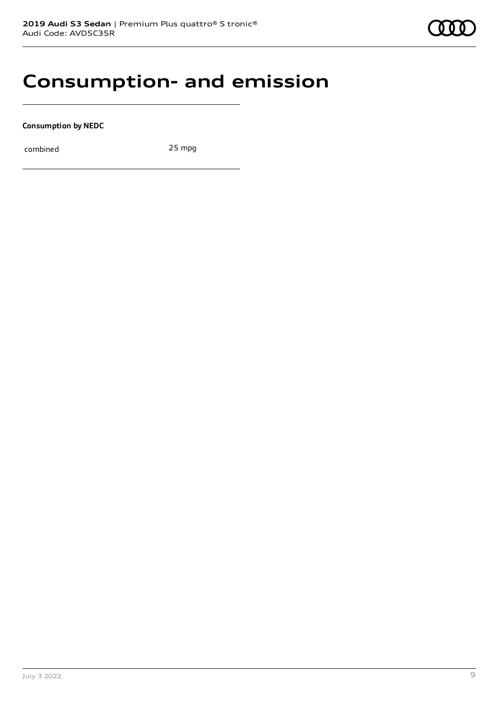### **Consumption- and emission**

**Consumption by NEDC**

combined 25 mpg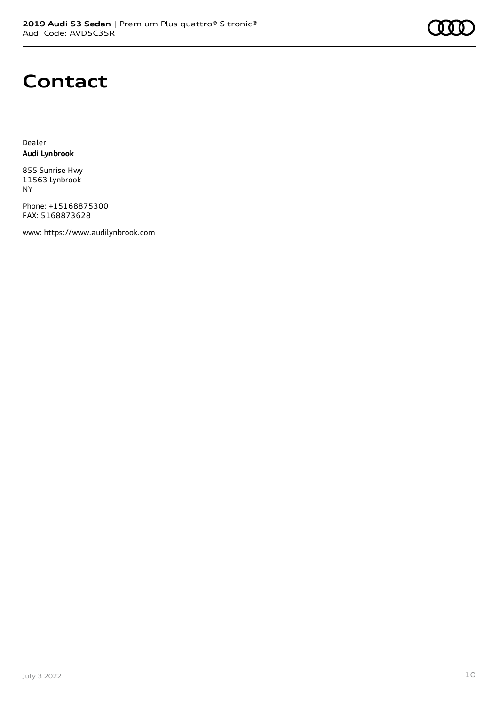

### **Contact**

Dealer **Audi Lynbrook**

855 Sunrise Hwy 11563 Lynbrook NY

Phone: +15168875300 FAX: 5168873628

www: [https://www.audilynbrook.com](https://www.audilynbrook.com/)